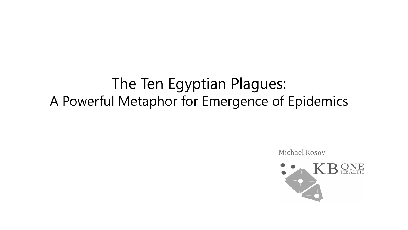# The Ten Egyptian Plagues: A Powerful Metaphor for Emergence of Epidemics

Michael Kosoy

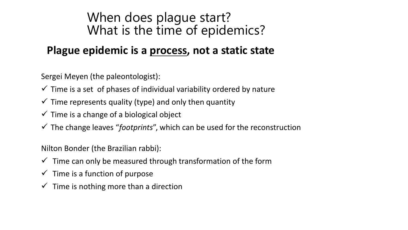## When does plague start? What is the time of epidemics?

### **Plague epidemic is a process, not a static state**

Sergei Meyen (the paleontologist):

- $\checkmark$  Time is a set of phases of individual variability ordered by nature
- $\checkmark$  Time represents quality (type) and only then quantity
- $\checkmark$  Time is a change of a biological object
- The change leaves "*footprints*", which can be used for the reconstruction

Nilton Bonder (the Brazilian rabbi):

- $\checkmark$  Time can only be measured through transformation of the form
- $\checkmark$  Time is a function of purpose
- $\checkmark$  Time is nothing more than a direction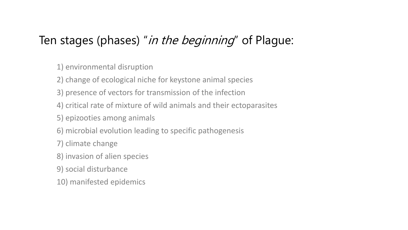## Ten stages (phases) "in the beginning" of Plague:

1) environmental disruption

2) change of ecological niche for keystone animal species

- 3) presence of vectors for transmission of the infection
- 4) critical rate of mixture of wild animals and their ectoparasites
- 5) epizooties among animals
- 6) microbial evolution leading to specific pathogenesis
- 7) climate change
- 8) invasion of alien species
- 9) social disturbance
- 10) manifested epidemics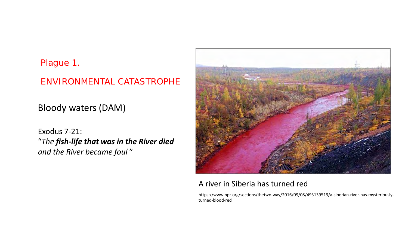#### Plague 1.

#### ENVIRONMENTAL CATASTROPHE

Bloody waters (DAM)

Exodus 7-21: "*The fish-life that was in the River died and the River became foul* "



#### A river in Siberia has turned red

https://www.npr.org/sections/thetwo-way/2016/09/08/493139519/a-siberian-river-has-mysteriouslyturned-blood-red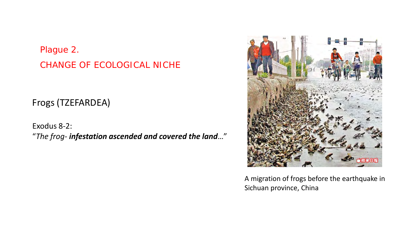### Plague 2. CHANGE OF ECOLOGICAL NICHE

Frogs (TZEFARDEA)

Exodus 8-2: "*The frog- infestation ascended and covered the land*…"



A migration of frogs before the earthquake in Sichuan province, China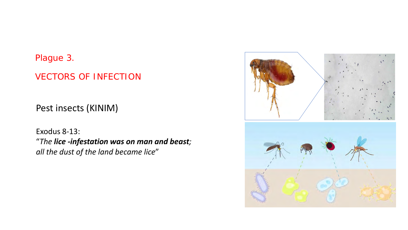#### Plague 3.

#### VECTORS OF INFECTION

Pest insects (KINIM)

Exodus 8-13: "*The lice -infestation was on man and beast; all the dust of the land became lice*"

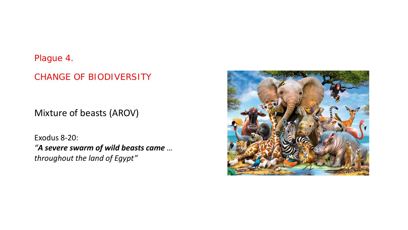#### Plague 4.

#### CHANGE OF BIODIVERSITY

Mixture of beasts (AROV)

Exodus 8-20: *"A severe swarm of wild beasts came … throughout the land of Egypt"*

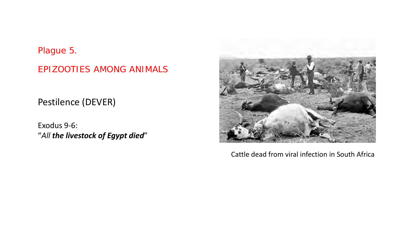#### Plague 5.

#### EPIZOOTIES AMONG ANIMALS

Pestilence (DEVER)

Exodus 9-6: "*All the livestock of Egypt died*"



Cattle dead from viral infection in South Africa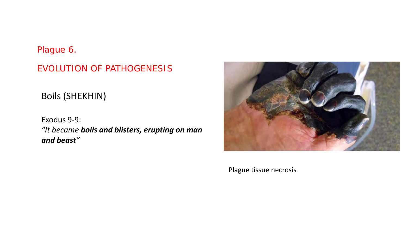#### Plague 6.

EVOLUTION OF PATHOGENESIS

Boils (SHEKHIN)

Exodus 9-9: *"It became boils and blisters, erupting on man and beast"*



Plague tissue necrosis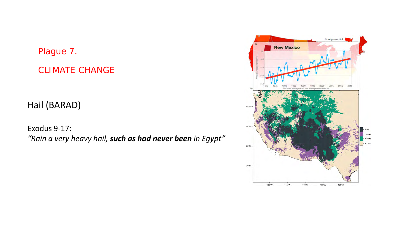#### Plague 7.

CLIMATE CHANGE

Hail (BARAD)

Exodus 9-17: *"Rain a very heavy hail, such as had never been in Egypt"*

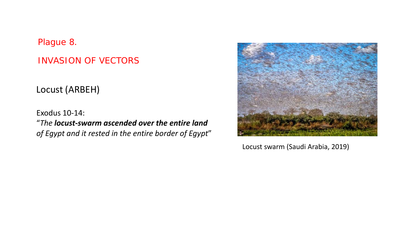Plague 8.

INVASION OF VECTORS

Locust (ARBEH)

Exodus 10-14: "*The locust-swarm ascended over the entire land of Egypt and it rested in the entire border of Egypt*"



Locust swarm (Saudi Arabia, 2019)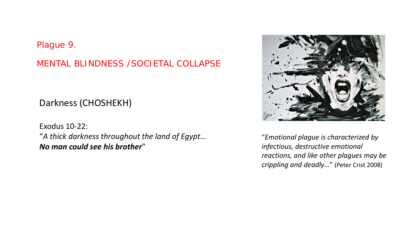#### Plague 9.

MENTAL BLINDNESS /SOCIETAL COLLAPSE

#### Darkness (CHOSHEKH)

Exodus 10-22: "*A thick darkness throughout the land of Egypt… No man could see his brother*"



"*Emotional plague is characterized by infectious, destructive emotional reactions, and like other plagues may be crippling and deadly*…" (Peter Crist 2008)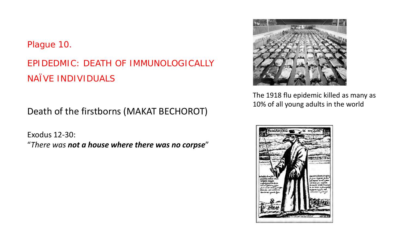#### Plague 10.

## EPIDEDMIC: DEATH OF IMMUNOLOGICALLY NAÏVE INDIVIDUALS

Death of the firstborns (MAKAT BECHOROT)

Exodus 12-30: "*There was not a house where there was no corpse*"



The 1918 flu epidemic killed as many as 10% of all young adults in the world